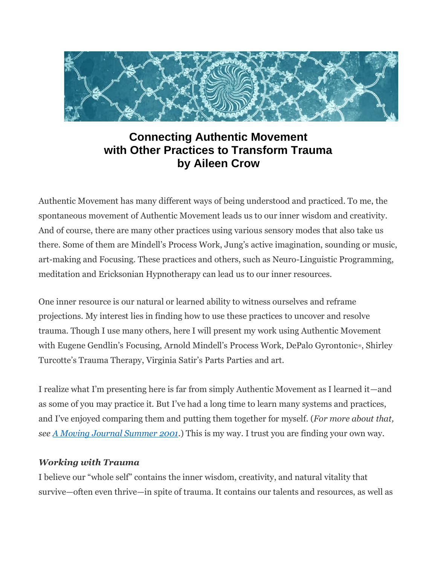

# **Connecting Authentic Movement with Other Practices to Transform Trauma by Aileen Crow**

Authentic Movement has many different ways of being understood and practiced. To me, the spontaneous movement of Authentic Movement leads us to our inner wisdom and creativity. And of course, there are many other practices using various sensory modes that also take us there. Some of them are Mindell's Process Work, Jung's active imagination, sounding or music, art-making and Focusing. These practices and others, such as Neuro-Linguistic Programming, meditation and Ericksonian Hypnotherapy can lead us to our inner resources.

One inner resource is our natural or learned ability to witness ourselves and reframe projections. My interest lies in finding how to use these practices to uncover and resolve trauma. Though I use many others, here I will present my work using Authentic Movement with Eugene Gendlin's Focusing, Arnold Mindell's Process Work, DePalo Gyrontonic®, Shirley Turcotte's Trauma Therapy, Virginia Satir's Parts Parties and art.

I realize what I'm presenting here is far from simply Authentic Movement as I learned it—and as some of you may practice it. But I've had a long time to learn many systems and practices, and I've enjoyed comparing them and putting them together for myself. (*For more about that, see A Moving Journal Summer 2001*.) This is my way. I trust you are finding your own way.

#### *Working with Trauma*

I believe our "whole self" contains the inner wisdom, creativity, and natural vitality that survive—often even thrive—in spite of trauma. It contains our talents and resources, as well as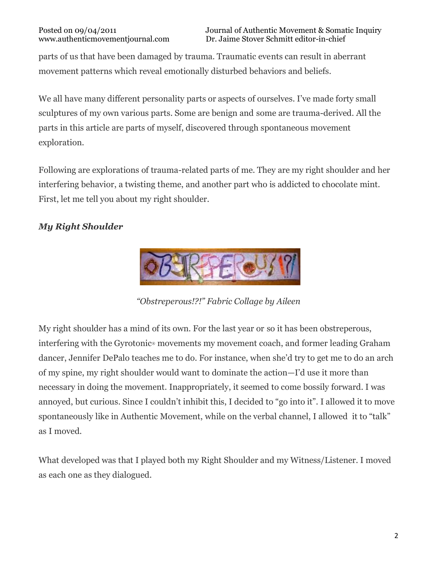parts of us that have been damaged by trauma. Traumatic events can result in aberrant movement patterns which reveal emotionally disturbed behaviors and beliefs.

We all have many different personality parts or aspects of ourselves. I've made forty small sculptures of my own various parts. Some are benign and some are trauma-derived. All the parts in this article are parts of myself, discovered through spontaneous movement exploration.

Following are explorations of trauma-related parts of me. They are my right shoulder and her interfering behavior, a twisting theme, and another part who is addicted to chocolate mint. First, let me tell you about my right shoulder.

# *My Right Shoulder*



*"Obstreperous!?!" Fabric Collage by Aileen*

My right shoulder has a mind of its own. For the last year or so it has been obstreperous, interfering with the Gyrotonic® movements my movement coach, and former leading Graham dancer, Jennifer DePalo teaches me to do. For instance, when she'd try to get me to do an arch of my spine, my right shoulder would want to dominate the action—I'd use it more than necessary in doing the movement. Inappropriately, it seemed to come bossily forward. I was annoyed, but curious. Since I couldn't inhibit this, I decided to "go into it". I allowed it to move spontaneously like in Authentic Movement, while on the verbal channel, I allowed it to "talk" as I moved.

What developed was that I played both my Right Shoulder and my Witness/Listener. I moved as each one as they dialogued.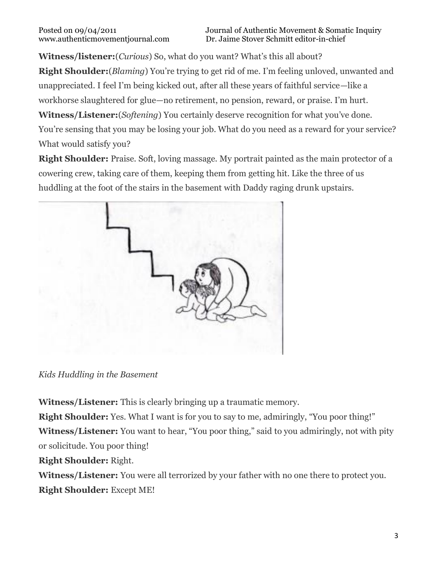**Witness/listener:**(*Curious*) So, what do you want? What's this all about?

**Right Shoulder:**(*Blaming*) You're trying to get rid of me. I'm feeling unloved, unwanted and unappreciated. I feel I'm being kicked out, after all these years of faithful service—like a workhorse slaughtered for glue—no retirement, no pension, reward, or praise. I'm hurt.

**Witness/Listener:**(*Softening*) You certainly deserve recognition for what you've done. You're sensing that you may be losing your job. What do you need as a reward for your service? What would satisfy you?

**Right Shoulder:** Praise. Soft, loving massage. My portrait painted as the main protector of a cowering crew, taking care of them, keeping them from getting hit. Like the three of us huddling at the foot of the stairs in the basement with Daddy raging drunk upstairs.



*Kids Huddling in the Basement*

**Witness/Listener:** This is clearly bringing up a traumatic memory.

**Right Shoulder:** Yes. What I want is for you to say to me, admiringly, "You poor thing!" **Witness/Listener:** You want to hear, "You poor thing," said to you admiringly, not with pity or solicitude. You poor thing!

**Right Shoulder:** Right.

**Witness/Listener:** You were all terrorized by your father with no one there to protect you. **Right Shoulder:** Except ME!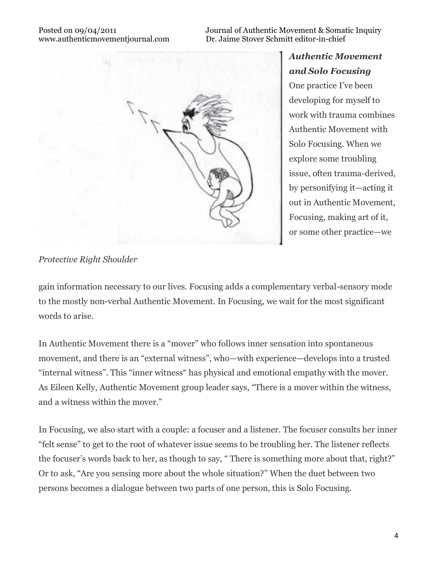Posted on 09/04/2011<br>Www.authentic movement journal.com Dr. Jaime Stover Schmitt editor-in-chief Dr. Jaime Stover Schmitt editor-in-chief



*Authentic Movement and Solo Focusing* One practice I've been developing for myself to work with trauma combines Authentic Movement with Solo Focusing. When we explore some troubling issue, often trauma-derived, by personifying it—acting it out in Authentic Movement, Focusing, making art of it, or some other practice—we

#### *Protective Right Shoulder*

gain information necessary to our lives. Focusing adds a complementary verbal-sensory mode to the mostly non-verbal Authentic Movement. In Focusing, we wait for the most significant words to arise.

In Authentic Movement there is a "mover" who follows inner sensation into spontaneous movement, and there is an "external witness", who—with experience—develops into a trusted "internal witness". This "inner witness" has physical and emotional empathy with the mover. As Eileen Kelly, Authentic Movement group leader says, "There is a mover within the witness, and a witness within the mover."

In Focusing, we also start with a couple: a focuser and a listener. The focuser consults her inner "felt sense" to get to the root of whatever issue seems to be troubling her. The listener reflects the focuser's words back to her, as though to say, " There is something more about that, right?" Or to ask, "Are you sensing more about the whole situation?" When the duet between two persons becomes a dialogue between two parts of one person, this is Solo Focusing.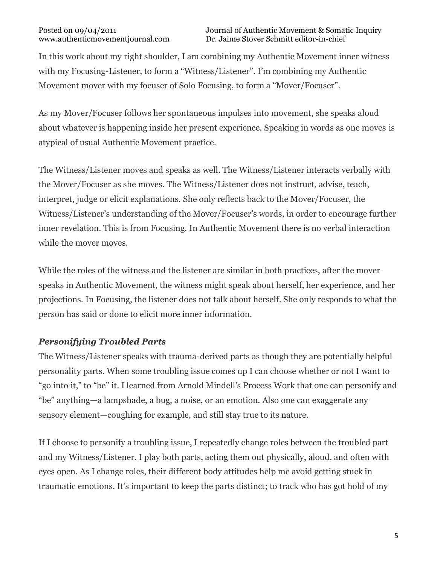In this work about my right shoulder, I am combining my Authentic Movement inner witness with my Focusing-Listener, to form a "Witness/Listener". I'm combining my Authentic Movement mover with my focuser of Solo Focusing, to form a "Mover/Focuser".

As my Mover/Focuser follows her spontaneous impulses into movement, she speaks aloud about whatever is happening inside her present experience. Speaking in words as one moves is atypical of usual Authentic Movement practice.

The Witness/Listener moves and speaks as well. The Witness/Listener interacts verbally with the Mover/Focuser as she moves. The Witness/Listener does not instruct, advise, teach, interpret, judge or elicit explanations. She only reflects back to the Mover/Focuser, the Witness/Listener's understanding of the Mover/Focuser's words, in order to encourage further inner revelation. This is from Focusing. In Authentic Movement there is no verbal interaction while the mover moves.

While the roles of the witness and the listener are similar in both practices, after the mover speaks in Authentic Movement, the witness might speak about herself, her experience, and her projections. In Focusing, the listener does not talk about herself. She only responds to what the person has said or done to elicit more inner information.

### *Personifying Troubled Parts*

The Witness/Listener speaks with trauma-derived parts as though they are potentially helpful personality parts. When some troubling issue comes up I can choose whether or not I want to "go into it," to "be" it. I learned from Arnold Mindell's Process Work that one can personify and "be" anything—a lampshade, a bug, a noise, or an emotion. Also one can exaggerate any sensory element—coughing for example, and still stay true to its nature.

If I choose to personify a troubling issue, I repeatedly change roles between the troubled part and my Witness/Listener. I play both parts, acting them out physically, aloud, and often with eyes open. As I change roles, their different body attitudes help me avoid getting stuck in traumatic emotions. It's important to keep the parts distinct; to track who has got hold of my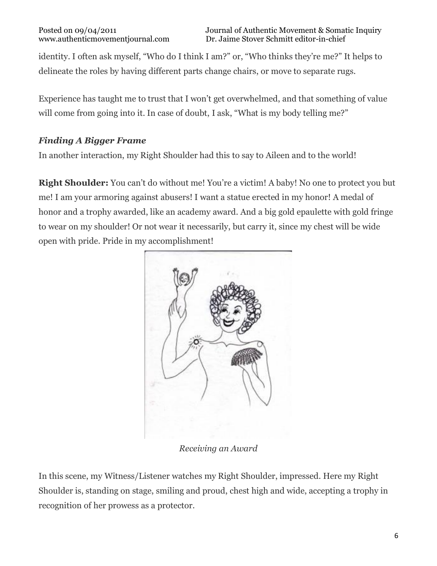identity. I often ask myself, "Who do I think I am?" or, "Who thinks they're me?" It helps to delineate the roles by having different parts change chairs, or move to separate rugs.

Experience has taught me to trust that I won't get overwhelmed, and that something of value will come from going into it. In case of doubt, I ask, "What is my body telling me?"

## *Finding A Bigger Frame*

In another interaction, my Right Shoulder had this to say to Aileen and to the world!

**Right Shoulder:** You can't do without me! You're a victim! A baby! No one to protect you but me! I am your armoring against abusers! I want a statue erected in my honor! A medal of honor and a trophy awarded, like an academy award. And a big gold epaulette with gold fringe to wear on my shoulder! Or not wear it necessarily, but carry it, since my chest will be wide open with pride. Pride in my accomplishment!



*Receiving an Award*

In this scene, my Witness/Listener watches my Right Shoulder, impressed. Here my Right Shoulder is, standing on stage, smiling and proud, chest high and wide, accepting a trophy in recognition of her prowess as a protector.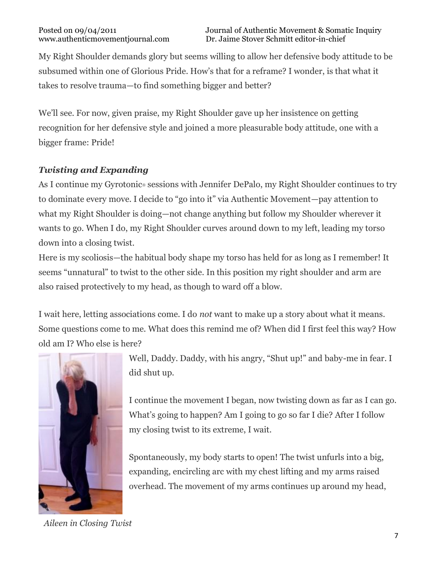My Right Shoulder demands glory but seems willing to allow her defensive body attitude to be subsumed within one of Glorious Pride. How's that for a reframe? I wonder, is that what it takes to resolve trauma—to find something bigger and better?

We'll see. For now, given praise, my Right Shoulder gave up her insistence on getting recognition for her defensive style and joined a more pleasurable body attitude, one with a bigger frame: Pride!

## *Twisting and Expanding*

As I continue my Gyrotonic<sup>®</sup> sessions with Jennifer DePalo, my Right Shoulder continues to try to dominate every move. I decide to "go into it" via Authentic Movement—pay attention to what my Right Shoulder is doing—not change anything but follow my Shoulder wherever it wants to go. When I do, my Right Shoulder curves around down to my left, leading my torso down into a closing twist.

Here is my scoliosis—the habitual body shape my torso has held for as long as I remember! It seems "unnatural" to twist to the other side. In this position my right shoulder and arm are also raised protectively to my head, as though to ward off a blow.

I wait here, letting associations come. I do *not* want to make up a story about what it means. Some questions come to me. What does this remind me of? When did I first feel this way? How old am I? Who else is here?



*Aileen in Closing Twist*

Well, Daddy. Daddy, with his angry, "Shut up!" and baby-me in fear. I did shut up.

I continue the movement I began, now twisting down as far as I can go. What's going to happen? Am I going to go so far I die? After I follow my closing twist to its extreme, I wait.

Spontaneously, my body starts to open! The twist unfurls into a big, expanding, encircling arc with my chest lifting and my arms raised overhead. The movement of my arms continues up around my head,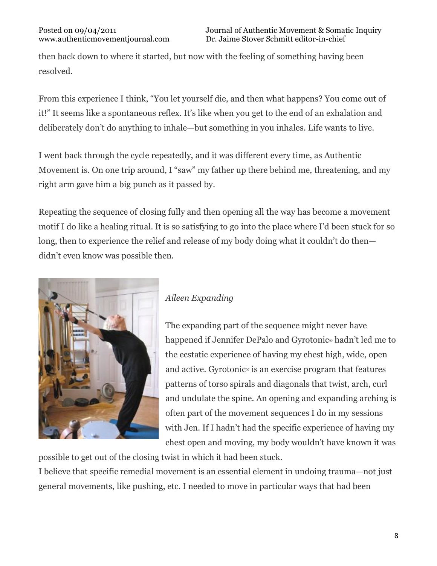then back down to where it started, but now with the feeling of something having been resolved.

From this experience I think, "You let yourself die, and then what happens? You come out of it!" It seems like a spontaneous reflex. It's like when you get to the end of an exhalation and deliberately don't do anything to inhale—but something in you inhales. Life wants to live.

I went back through the cycle repeatedly, and it was different every time, as Authentic Movement is. On one trip around, I "saw" my father up there behind me, threatening, and my right arm gave him a big punch as it passed by.

Repeating the sequence of closing fully and then opening all the way has become a movement motif I do like a healing ritual. It is so satisfying to go into the place where I'd been stuck for so long, then to experience the relief and release of my body doing what it couldn't do then didn't even know was possible then.



# *Aileen Expanding*

The expanding part of the sequence might never have happened if Jennifer DePalo and Gyrotonic® hadn't led me to the ecstatic experience of having my chest high, wide, open and active. Gyrotonic® is an exercise program that features patterns of torso spirals and diagonals that twist, arch, curl and undulate the spine. An opening and expanding arching is often part of the movement sequences I do in my sessions with Jen. If I hadn't had the specific experience of having my chest open and moving, my body wouldn't have known it was

possible to get out of the closing twist in which it had been stuck.

I believe that specific remedial movement is an essential element in undoing trauma—not just general movements, like pushing, etc. I needed to move in particular ways that had been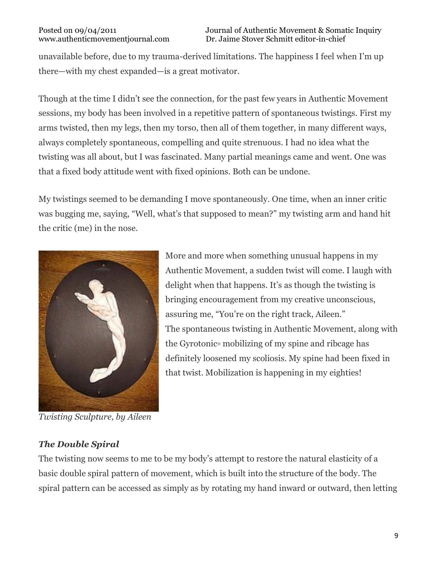unavailable before, due to my trauma-derived limitations. The happiness I feel when I'm up there—with my chest expanded—is a great motivator.

Though at the time I didn't see the connection, for the past few years in Authentic Movement sessions, my body has been involved in a repetitive pattern of spontaneous twistings. First my arms twisted, then my legs, then my torso, then all of them together, in many different ways, always completely spontaneous, compelling and quite strenuous. I had no idea what the twisting was all about, but I was fascinated. Many partial meanings came and went. One was that a fixed body attitude went with fixed opinions. Both can be undone.

My twistings seemed to be demanding I move spontaneously. One time, when an inner critic was bugging me, saying, "Well, what's that supposed to mean?" my twisting arm and hand hit the critic (me) in the nose.



*Twisting Sculpture, by Aileen*

More and more when something unusual happens in my Authentic Movement, a sudden twist will come. I laugh with delight when that happens. It's as though the twisting is bringing encouragement from my creative unconscious, assuring me, "You're on the right track, Aileen." The spontaneous twisting in Authentic Movement, along with the Gyrotonic® mobilizing of my spine and ribcage has definitely loosened my scoliosis. My spine had been fixed in that twist. Mobilization is happening in my eighties!

### *The Double Spiral*

The twisting now seems to me to be my body's attempt to restore the natural elasticity of a basic double spiral pattern of movement, which is built into the structure of the body. The spiral pattern can be accessed as simply as by rotating my hand inward or outward, then letting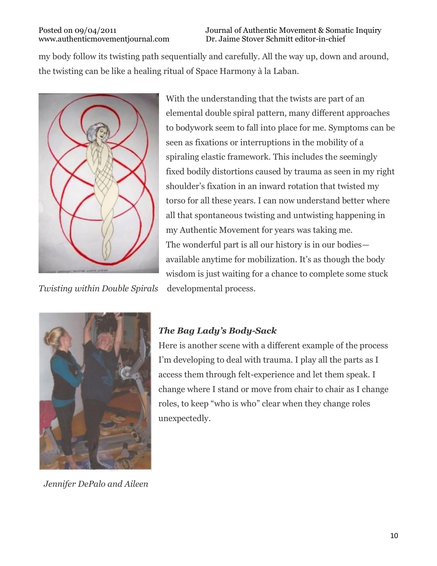Posted on 09/04/2011<br>Www.authentic movement journal.com Dr. Jaime Stover Schmitt editor-in-chief Dr. Jaime Stover Schmitt editor-in-chief

my body follow its twisting path sequentially and carefully. All the way up, down and around, the twisting can be like a healing ritual of Space Harmony à la Laban.



*Twisting within Double Spirals* developmental process.

With the understanding that the twists are part of an elemental double spiral pattern, many different approaches to bodywork seem to fall into place for me. Symptoms can be seen as fixations or interruptions in the mobility of a spiraling elastic framework. This includes the seemingly fixed bodily distortions caused by trauma as seen in my right shoulder's fixation in an inward rotation that twisted my torso for all these years. I can now understand better where all that spontaneous twisting and untwisting happening in my Authentic Movement for years was taking me. The wonderful part is all our history is in our bodies available anytime for mobilization. It's as though the body wisdom is just waiting for a chance to complete some stuck



*Jennifer DePalo and Aileen*

#### *The Bag Lady's Body-Sack*

Here is another scene with a different example of the process I'm developing to deal with trauma. I play all the parts as I access them through felt-experience and let them speak. I change where I stand or move from chair to chair as I change roles, to keep "who is who" clear when they change roles unexpectedly.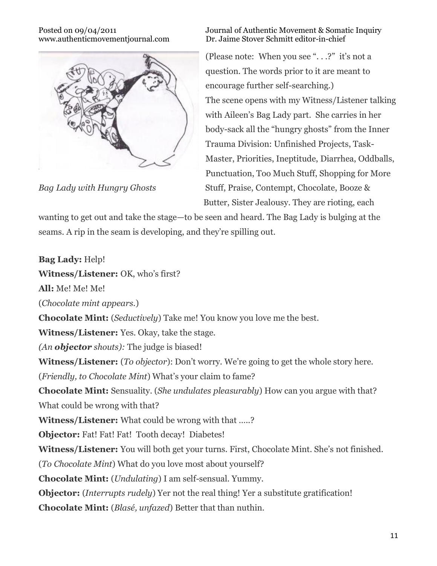

#### Posted on 09/04/2011<br>Www.authentic movement journal.com Dr. Jaime Stover Schmitt editor-in-chief Dr. Jaime Stover Schmitt editor-in-chief

(Please note: When you see ". . .?" it's not a question. The words prior to it are meant to encourage further self-searching.) The scene opens with my Witness/Listener talking with Aileen's Bag Lady part. She carries in her body-sack all the "hungry ghosts" from the Inner Trauma Division: Unfinished Projects, Task-Master, Priorities, Ineptitude, Diarrhea, Oddballs, Punctuation, Too Much Stuff, Shopping for More *Bag Lady with Hungry Ghosts* Stuff, Praise, Contempt, Chocolate, Booze & Butter, Sister Jealousy. They are rioting, each

wanting to get out and take the stage—to be seen and heard. The Bag Lady is bulging at the seams. A rip in the seam is developing, and they're spilling out.

**Bag Lady:** Help! **Witness/Listener:** OK, who's first? **All:** Me! Me! Me! (*Chocolate mint appears.*) **Chocolate Mint:** (*Seductively*) Take me! You know you love me the best. **Witness/Listener:** Yes. Okay, take the stage. *(An objector shouts):* The judge is biased! **Witness/Listener:** (*To objector*): Don't worry. We're going to get the whole story here. (*Friendly, to Chocolate Mint*) What's your claim to fame? **Chocolate Mint:** Sensuality. (*She undulates pleasurably*) How can you argue with that? What could be wrong with that? **Witness/Listener:** What could be wrong with that …..? **Objector:** Fat! Fat! Fat! Tooth decay! Diabetes! **Witness/Listener:** You will both get your turns. First, Chocolate Mint. She's not finished. (*To Chocolate Mint*) What do you love most about yourself? **Chocolate Mint:** (*Undulating*) I am self-sensual. Yummy. **Objector:** (*Interrupts rudely*) Yer not the real thing! Yer a substitute gratification! **Chocolate Mint:** (*Blasé, unfazed*) Better that than nuthin.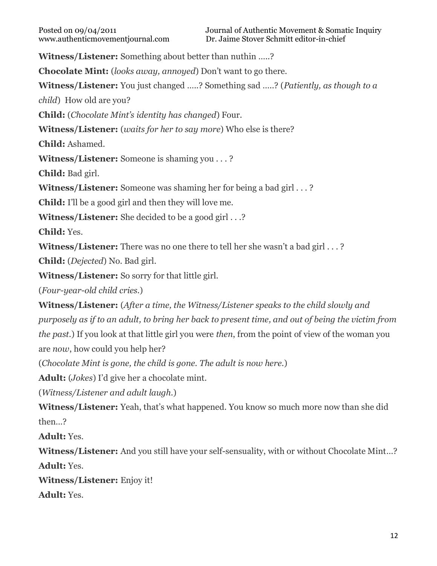**Witness/Listener:** Something about better than nuthin …..?

**Chocolate Mint:** (*looks away, annoyed*) Don't want to go there.

**Witness/Listener:** You just changed …..? Something sad …..? (*Patiently, as though to a*

*child*) How old are you?

**Child:** (*Chocolate Mint's identity has changed*) Four.

**Witness/Listener:** (*waits for her to say more*) Who else is there?

**Child:** Ashamed.

**Witness/Listener:** Someone is shaming you . . . ?

**Child:** Bad girl.

**Witness/Listener:** Someone was shaming her for being a bad girl . . . ?

**Child:** I'll be a good girl and then they will love me.

**Witness/Listener:** She decided to be a good girl . . .?

**Child:** Yes.

**Witness/Listener:** There was no one there to tell her she wasn't a bad girl . . . ?

**Child:** (*Dejected*) No. Bad girl.

**Witness/Listener:** So sorry for that little girl.

(*Four-year-old child cries.*)

**Witness/Listener:** (*After a time, the Witness/Listener speaks to the child slowly and* purposely as if to an adult, to bring her back to present time, and out of being the victim from *the past.*) If you look at that little girl you were *then*, from the point of view of the woman you are *now*, how could you help her?

(*Chocolate Mint is gone, the child is gone. The adult is now here.*)

**Adult:** (*Jokes*) I'd give her a chocolate mint.

(*Witness/Listener and adult laugh.*)

**Witness/Listener:** Yeah, that's what happened. You know so much more now than she did then…?

**Adult:** Yes.

**Witness/Listener:** And you still have your self-sensuality, with or without Chocolate Mint…? **Adult:** Yes.

**Witness/Listener:** Enjoy it!

**Adult:** Yes.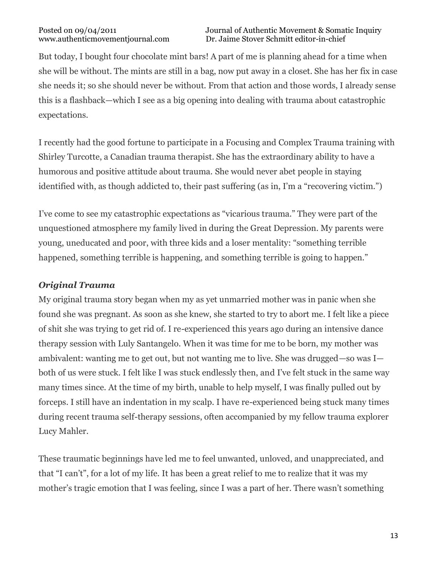But today, I bought four chocolate mint bars! A part of me is planning ahead for a time when she will be without. The mints are still in a bag, now put away in a closet. She has her fix in case she needs it; so she should never be without. From that action and those words, I already sense this is a flashback—which I see as a big opening into dealing with trauma about catastrophic expectations.

I recently had the good fortune to participate in a Focusing and Complex Trauma training with Shirley Turcotte, a Canadian trauma therapist. She has the extraordinary ability to have a humorous and positive attitude about trauma. She would never abet people in staying identified with, as though addicted to, their past suffering (as in, I'm a "recovering victim.")

I've come to see my catastrophic expectations as "vicarious trauma." They were part of the unquestioned atmosphere my family lived in during the Great Depression. My parents were young, uneducated and poor, with three kids and a loser mentality: "something terrible happened, something terrible is happening, and something terrible is going to happen."

### *Original Trauma*

My original trauma story began when my as yet unmarried mother was in panic when she found she was pregnant. As soon as she knew, she started to try to abort me. I felt like a piece of shit she was trying to get rid of. I re-experienced this years ago during an intensive dance therapy session with Luly Santangelo. When it was time for me to be born, my mother was ambivalent: wanting me to get out, but not wanting me to live. She was drugged—so was I both of us were stuck. I felt like I was stuck endlessly then, and I've felt stuck in the same way many times since. At the time of my birth, unable to help myself, I was finally pulled out by forceps. I still have an indentation in my scalp. I have re-experienced being stuck many times during recent trauma self-therapy sessions, often accompanied by my fellow trauma explorer Lucy Mahler.

These traumatic beginnings have led me to feel unwanted, unloved, and unappreciated, and that "I can't", for a lot of my life. It has been a great relief to me to realize that it was my mother's tragic emotion that I was feeling, since I was a part of her. There wasn't something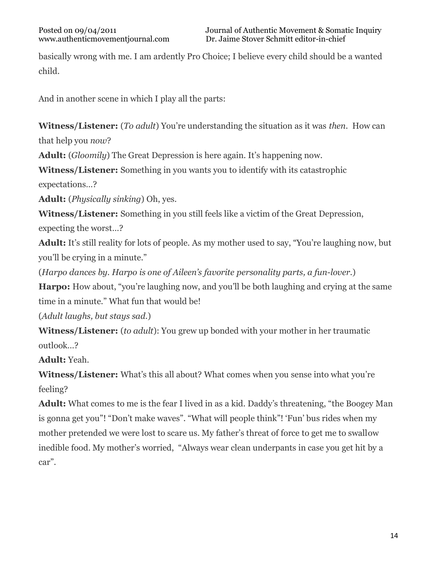basically wrong with me. I am ardently Pro Choice; I believe every child should be a wanted child.

And in another scene in which I play all the parts:

**Witness/Listener:** (*To adult*) You're understanding the situation as it was *then*. How can that help you *now*?

**Adult:** (*Gloomily*) The Great Depression is here again. It's happening now.

**Witness/Listener:** Something in you wants you to identify with its catastrophic

expectations…?

**Adult:** (*Physically sinking*) Oh, yes.

**Witness/Listener:** Something in you still feels like a victim of the Great Depression, expecting the worst…?

**Adult:** It's still reality for lots of people. As my mother used to say, "You're laughing now, but you'll be crying in a minute."

(*Harpo dances by. Harpo is one of Aileen's favorite personality parts, a fun-lover.*)

**Harpo:** How about, "you're laughing now, and you'll be both laughing and crying at the same time in a minute." What fun that would be!

(*Adult laughs, but stays sad.*)

**Witness/Listener:** (*to adult*): You grew up bonded with your mother in her traumatic outlook…?

**Adult:** Yeah.

**Witness/Listener:** What's this all about? What comes when you sense into what you're feeling?

**Adult:** What comes to me is the fear I lived in as a kid. Daddy's threatening, "the Boogey Man is gonna get you"! "Don't make waves". "What will people think"! 'Fun' bus rides when my mother pretended we were lost to scare us. My father's threat of force to get me to swallow inedible food. My mother's worried, "Always wear clean underpants in case you get hit by a car".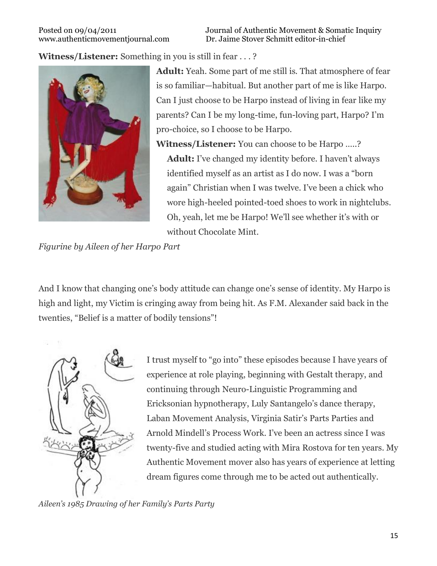Posted on 09/04/2011 Journal of Authentic Movement & Somatic Inquiry www.authenticmovementjournal.com Dr. Jaime Stover Schmitt editor-in-chief

**Witness/Listener:** Something in you is still in fear . . . ?



**Adult:** Yeah. Some part of me still is. That atmosphere of fear is so familiar—habitual. But another part of me is like Harpo. Can I just choose to be Harpo instead of living in fear like my parents? Can I be my long-time, fun-loving part, Harpo? I'm pro-choice, so I choose to be Harpo.

**Witness/Listener:** You can choose to be Harpo …..?

**Adult:** I've changed my identity before. I haven't always identified myself as an artist as I do now. I was a "born again" Christian when I was twelve. I've been a chick who wore high-heeled pointed-toed shoes to work in nightclubs. Oh, yeah, let me be Harpo! We'll see whether it's with or without Chocolate Mint.

*Figurine by Aileen of her Harpo Part*

And I know that changing one's body attitude can change one's sense of identity. My Harpo is high and light, my Victim is cringing away from being hit. As F.M. Alexander said back in the twenties, "Belief is a matter of bodily tensions"!



I trust myself to "go into" these episodes because I have years of experience at role playing, beginning with Gestalt therapy, and continuing through Neuro-Linguistic Programming and Ericksonian hypnotherapy, Luly Santangelo's dance therapy, Laban Movement Analysis, Virginia Satir's Parts Parties and Arnold Mindell's Process Work. I've been an actress since I was twenty-five and studied acting with Mira Rostova for ten years. My Authentic Movement mover also has years of experience at letting dream figures come through me to be acted out authentically.

*Aileen's 1985 Drawing of her Family's Parts Party*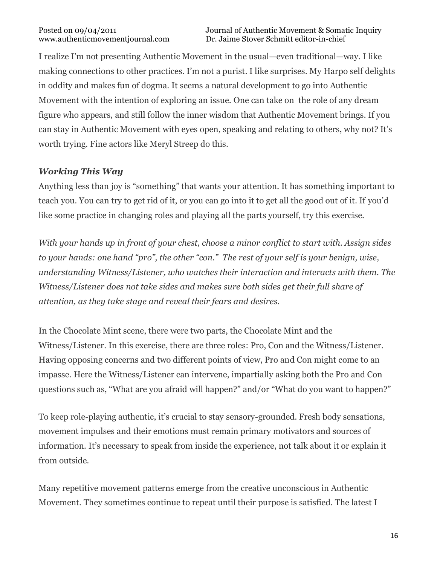I realize I'm not presenting Authentic Movement in the usual—even traditional—way. I like making connections to other practices. I'm not a purist. I like surprises. My Harpo self delights in oddity and makes fun of dogma. It seems a natural development to go into Authentic Movement with the intention of exploring an issue. One can take on the role of any dream figure who appears, and still follow the inner wisdom that Authentic Movement brings. If you can stay in Authentic Movement with eyes open, speaking and relating to others, why not? It's worth trying. Fine actors like Meryl Streep do this.

## *Working This Way*

Anything less than joy is "something" that wants your attention. It has something important to teach you. You can try to get rid of it, or you can go into it to get all the good out of it. If you'd like some practice in changing roles and playing all the parts yourself, try this exercise.

*With your hands up in front of your chest, choose a minor conflict to start with. Assign sides to your hands: one hand "pro", the other "con." The rest of your self is your benign, wise, understanding Witness/Listener, who watches their interaction and interacts with them. The Witness/Listener does not take sides and makes sure both sides get their full share of attention, as they take stage and reveal their fears and desires.*

In the Chocolate Mint scene, there were two parts, the Chocolate Mint and the Witness/Listener. In this exercise, there are three roles: Pro, Con and the Witness/Listener. Having opposing concerns and two different points of view, Pro and Con might come to an impasse. Here the Witness/Listener can intervene, impartially asking both the Pro and Con questions such as, "What are you afraid will happen?" and/or "What do you want to happen?"

To keep role-playing authentic, it's crucial to stay sensory-grounded. Fresh body sensations, movement impulses and their emotions must remain primary motivators and sources of information. It's necessary to speak from inside the experience, not talk about it or explain it from outside.

Many repetitive movement patterns emerge from the creative unconscious in Authentic Movement. They sometimes continue to repeat until their purpose is satisfied. The latest I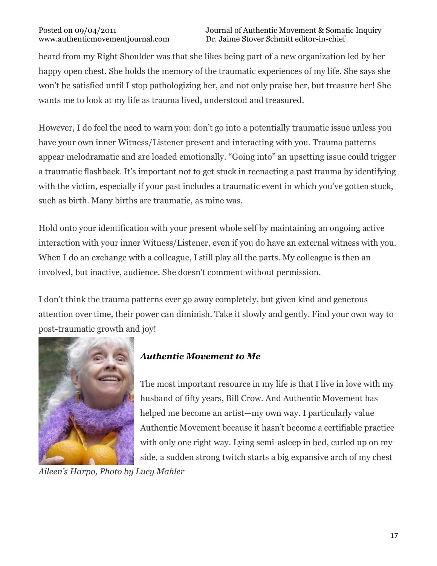heard from my Right Shoulder was that she likes being part of a new organization led by her happy open chest. She holds the memory of the traumatic experiences of my life. She says she won't be satisfied until I stop pathologizing her, and not only praise her, but treasure her! She wants me to look at my life as trauma lived, understood and treasured.

However, I do feel the need to warn you: don't go into a potentially traumatic issue unless you have your own inner Witness/Listener present and interacting with you. Trauma patterns appear melodramatic and are loaded emotionally. "Going into" an upsetting issue could trigger a traumatic flashback. It's important not to get stuck in reenacting a past trauma by identifying with the victim, especially if your past includes a traumatic event in which you've gotten stuck, such as birth. Many births are traumatic, as mine was.

Hold onto your identification with your present whole self by maintaining an ongoing active interaction with your inner Witness/Listener, even if you do have an external witness with you. When I do an exchange with a colleague, I still play all the parts. My colleague is then an involved, but inactive, audience. She doesn't comment without permission.

I don't think the trauma patterns ever go away completely, but given kind and generous attention over time, their power can diminish. Take it slowly and gently. Find your own way to post-traumatic growth and joy!



# *Authentic Movement to Me*

The most important resource in my life is that I live in love with my husband of fifty years, Bill Crow. And Authentic Movement has helped me become an artist—my own way. I particularly value Authentic Movement because it hasn't become a certifiable practice with only one right way. Lying semi-asleep in bed, curled up on my side, a sudden strong twitch starts a big expansive arch of my chest

*Aileen's Harpo, Photo by Lucy Mahler*